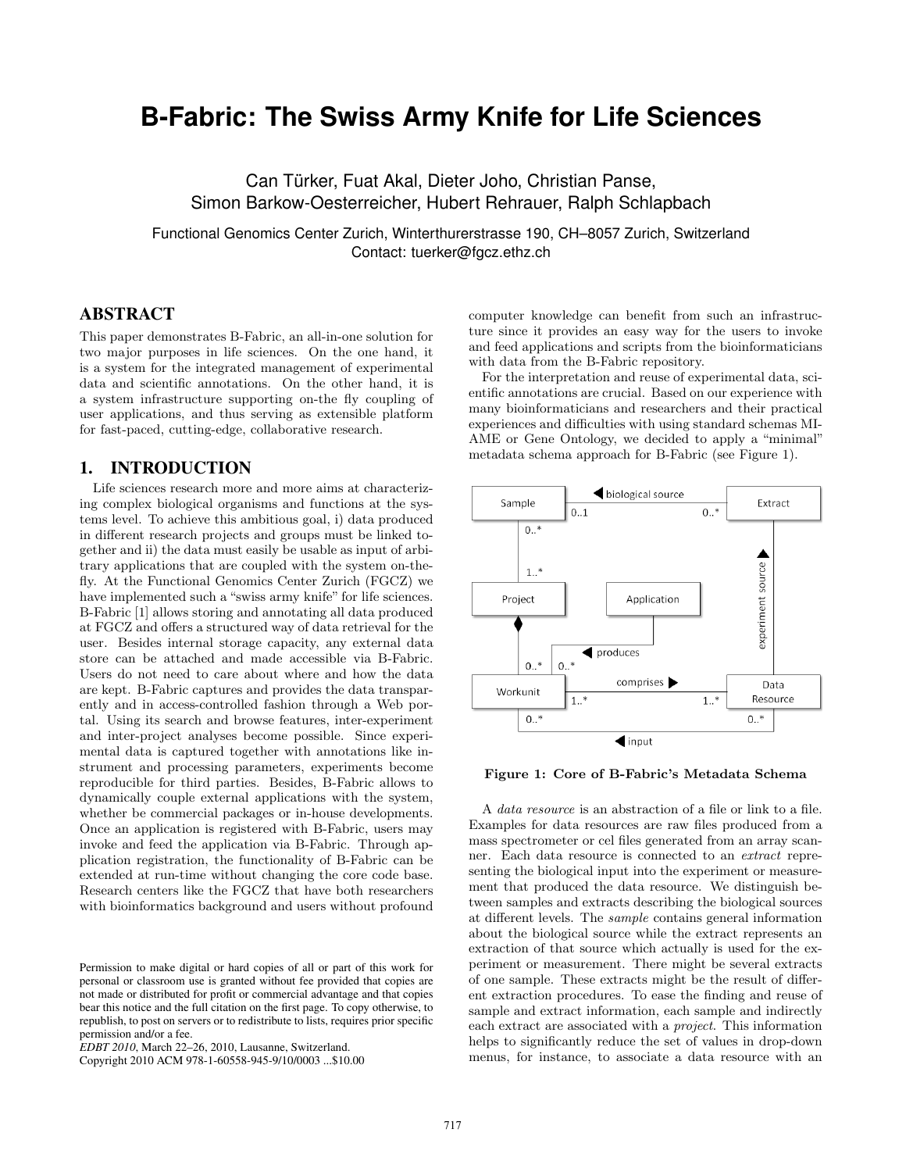# **B-Fabric: The Swiss Army Knife for Life Sciences**

Can Türker, Fuat Akal, Dieter Joho, Christian Panse, Simon Barkow-Oesterreicher, Hubert Rehrauer, Ralph Schlapbach

Functional Genomics Center Zurich, Winterthurerstrasse 190, CH–8057 Zurich, Switzerland Contact: tuerker@fgcz.ethz.ch

## ABSTRACT

This paper demonstrates B-Fabric, an all-in-one solution for two major purposes in life sciences. On the one hand, it is a system for the integrated management of experimental data and scientific annotations. On the other hand, it is a system infrastructure supporting on-the fly coupling of user applications, and thus serving as extensible platform for fast-paced, cutting-edge, collaborative research.

### 1. INTRODUCTION

Life sciences research more and more aims at characterizing complex biological organisms and functions at the systems level. To achieve this ambitious goal, i) data produced in different research projects and groups must be linked together and ii) the data must easily be usable as input of arbitrary applications that are coupled with the system on-thefly. At the Functional Genomics Center Zurich (FGCZ) we have implemented such a "swiss army knife" for life sciences. B-Fabric [1] allows storing and annotating all data produced at FGCZ and offers a structured way of data retrieval for the user. Besides internal storage capacity, any external data store can be attached and made accessible via B-Fabric. Users do not need to care about where and how the data are kept. B-Fabric captures and provides the data transparently and in access-controlled fashion through a Web portal. Using its search and browse features, inter-experiment and inter-project analyses become possible. Since experimental data is captured together with annotations like instrument and processing parameters, experiments become reproducible for third parties. Besides, B-Fabric allows to dynamically couple external applications with the system, whether be commercial packages or in-house developments. Once an application is registered with B-Fabric, users may invoke and feed the application via B-Fabric. Through application registration, the functionality of B-Fabric can be extended at run-time without changing the core code base. Research centers like the FGCZ that have both researchers with bioinformatics background and users without profound

Copyright 2010 ACM 978-1-60558-945-9/10/0003 ...\$10.00

computer knowledge can benefit from such an infrastructure since it provides an easy way for the users to invoke and feed applications and scripts from the bioinformaticians with data from the B-Fabric repository.

For the interpretation and reuse of experimental data, scientific annotations are crucial. Based on our experience with many bioinformaticians and researchers and their practical experiences and difficulties with using standard schemas MI-AME or Gene Ontology, we decided to apply a "minimal" metadata schema approach for B-Fabric (see Figure 1).



Figure 1: Core of B-Fabric's Metadata Schema

A data resource is an abstraction of a file or link to a file. Examples for data resources are raw files produced from a mass spectrometer or cel files generated from an array scanner. Each data resource is connected to an extract representing the biological input into the experiment or measurement that produced the data resource. We distinguish between samples and extracts describing the biological sources at different levels. The sample contains general information about the biological source while the extract represents an extraction of that source which actually is used for the experiment or measurement. There might be several extracts of one sample. These extracts might be the result of different extraction procedures. To ease the finding and reuse of sample and extract information, each sample and indirectly each extract are associated with a project. This information helps to significantly reduce the set of values in drop-down menus, for instance, to associate a data resource with an

Permission to make digital or hard copies of all or part of this work for personal or classroom use is granted without fee provided that copies are not made or distributed for profit or commercial advantage and that copies bear this notice and the full citation on the first page. To copy otherwise, to republish, to post on servers or to redistribute to lists, requires prior specific permission and/or a fee.

*EDBT 2010*, March 22–26, 2010, Lausanne, Switzerland.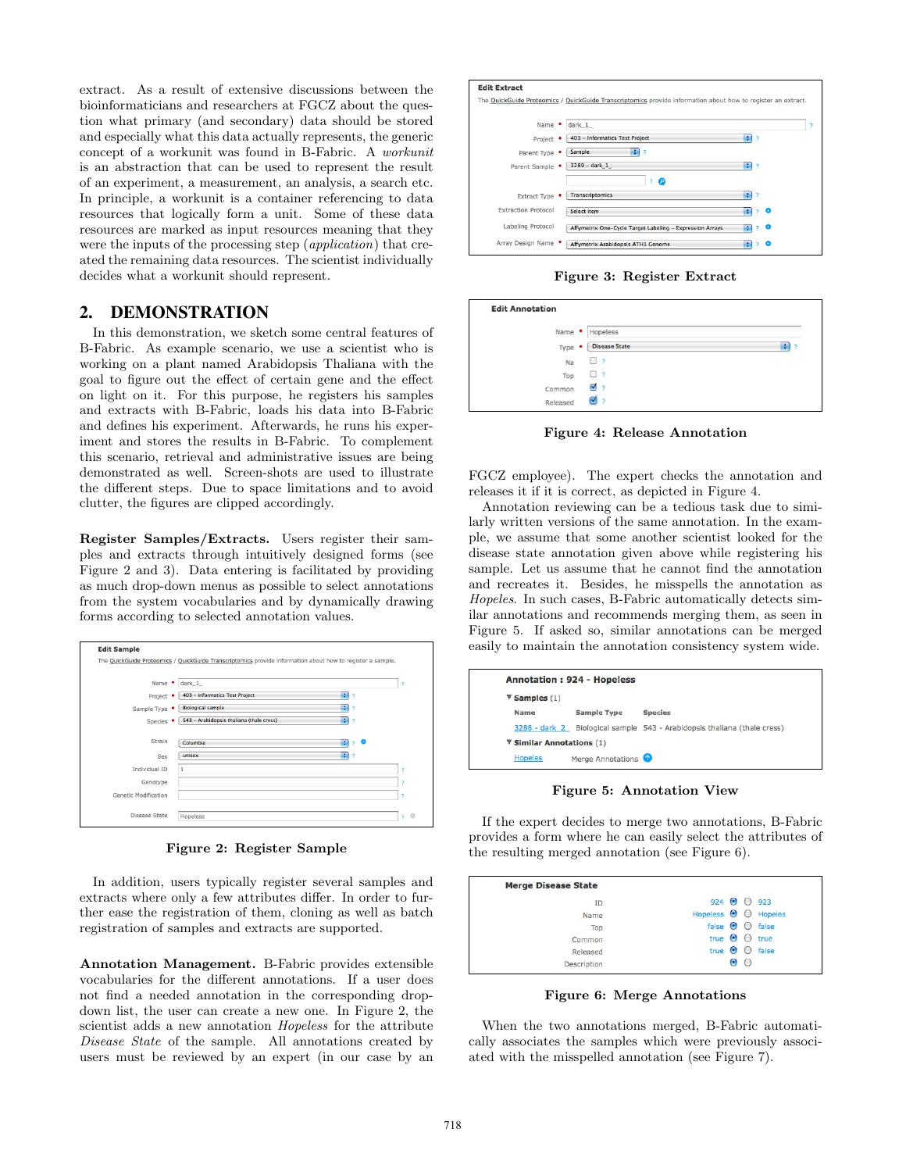extract. As a result of extensive discussions between the bioinformaticians and researchers at FGCZ about the question what primary (and secondary) data should be stored and especially what this data actually represents, the generic concept of a workunit was found in B-Fabric. A workunit is an abstraction that can be used to represent the result of an experiment, a measurement, an analysis, a search etc. In principle, a workunit is a container referencing to data resources that logically form a unit. Some of these data resources are marked as input resources meaning that they were the inputs of the processing step (*application*) that created the remaining data resources. The scientist individually decides what a workunit should represent.

#### 2. DEMONSTRATION

In this demonstration, we sketch some central features of B-Fabric. As example scenario, we use a scientist who is working on a plant named Arabidopsis Thaliana with the goal to figure out the effect of certain gene and the effect on light on it. For this purpose, he registers his samples and extracts with B-Fabric, loads his data into B-Fabric and defines his experiment. Afterwards, he runs his experiment and stores the results in B-Fabric. To complement this scenario, retrieval and administrative issues are being demonstrated as well. Screen-shots are used to illustrate the different steps. Due to space limitations and to avoid clutter, the figures are clipped accordingly.

Register Samples/Extracts. Users register their samples and extracts through intuitively designed forms (see Figure 2 and 3). Data entering is facilitated by providing as much drop-down menus as possible to select annotations from the system vocabularies and by dynamically drawing forms according to selected annotation values.



Figure 2: Register Sample

In addition, users typically register several samples and extracts where only a few attributes differ. In order to further ease the registration of them, cloning as well as batch registration of samples and extracts are supported.

Annotation Management. B-Fabric provides extensible vocabularies for the different annotations. If a user does not find a needed annotation in the corresponding dropdown list, the user can create a new one. In Figure 2, the scientist adds a new annotation Hopeless for the attribute Disease State of the sample. All annotations created by users must be reviewed by an expert (in our case by an



Figure 3: Register Extract

| Name •    | Hopeless             |        |
|-----------|----------------------|--------|
| ٠<br>Type | <b>Disease State</b> | ٠<br>7 |
| Na        | P<br>u               |        |
| Top       | $\overline{z}$<br>u  |        |
| Common    | ☑<br>2               |        |
| Released  | ☑                    |        |

Figure 4: Release Annotation

FGCZ employee). The expert checks the annotation and releases it if it is correct, as depicted in Figure 4.

Annotation reviewing can be a tedious task due to similarly written versions of the same annotation. In the example, we assume that some another scientist looked for the disease state annotation given above while registering his sample. Let us assume that he cannot find the annotation and recreates it. Besides, he misspells the annotation as Hopeles. In such cases, B-Fabric automatically detects similar annotations and recommends merging them, as seen in Figure 5. If asked so, similar annotations can be merged easily to maintain the annotation consistency system wide.

|                                                 | <b>Annotation: 924 - Hopeless</b> |                                                            |
|-------------------------------------------------|-----------------------------------|------------------------------------------------------------|
| $\P$ Samples (1)                                |                                   |                                                            |
| Name                                            | Sample Type                       | <b>Species</b>                                             |
| 3288 - dark 2                                   |                                   | Biological sample 543 - Arabidopsis thaliana (thale cress) |
| $\overline{\mathbf{v}}$ Similar Annotations (1) |                                   |                                                            |
| <b>Hopeles</b>                                  | Merge Annotations                 |                                                            |

Figure 5: Annotation View

If the expert decides to merge two annotations, B-Fabric provides a form where he can easily select the attributes of the resulting merged annotation (see Figure 6).

| <b>Merge Disease State</b> |                                    |  |                              |
|----------------------------|------------------------------------|--|------------------------------|
| ID                         | $924$ $\odot$ 0 923                |  |                              |
| Name                       | Hopeless $\Theta$ $\Theta$ Hopeles |  |                              |
| Top                        | false $\Theta$ $\Theta$ false      |  |                              |
| Common                     | true $\Theta$ $\Theta$ true        |  |                              |
| Released                   |                                    |  | true $\Theta$ $\Theta$ false |
| Description                |                                    |  |                              |

Figure 6: Merge Annotations

When the two annotations merged, B-Fabric automatically associates the samples which were previously associated with the misspelled annotation (see Figure 7).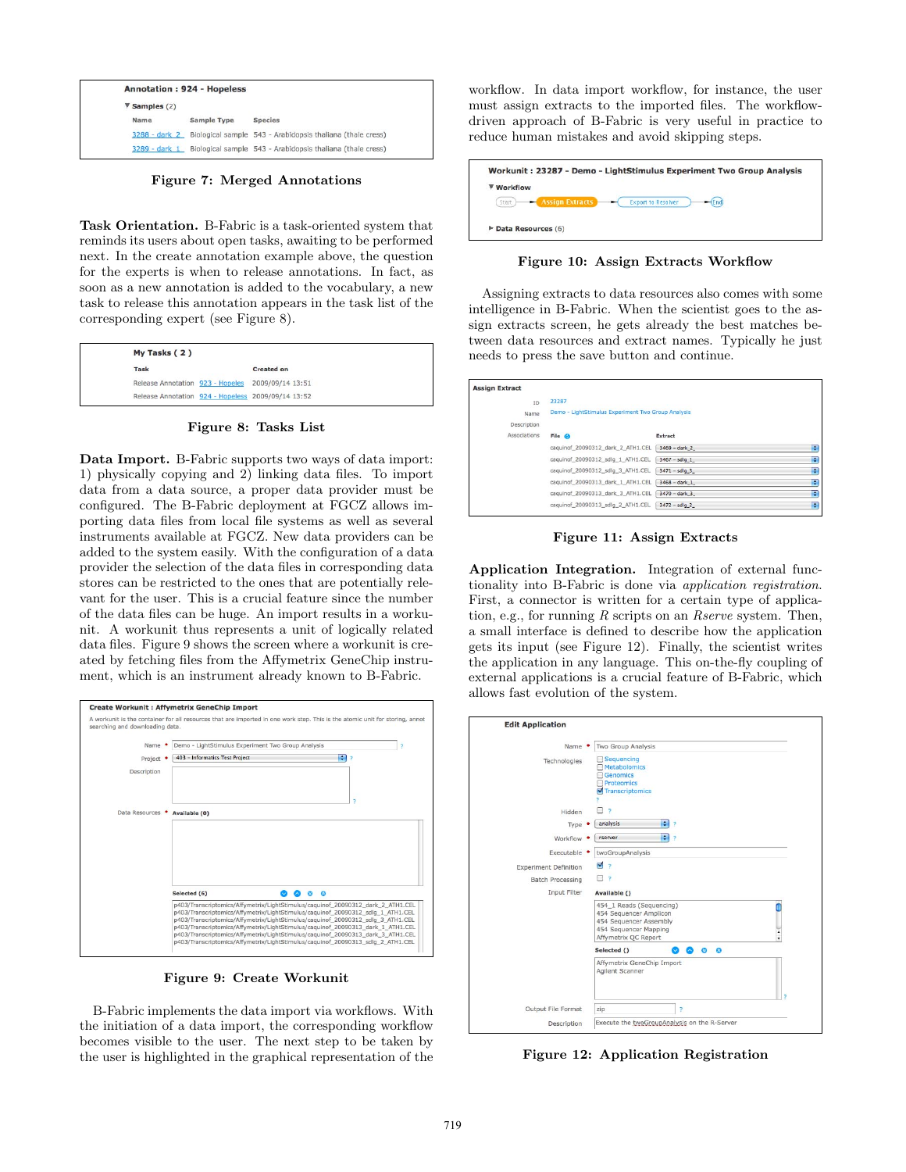|                                  | <b>Annotation: 924 - Hopeless</b> |                                                            |
|----------------------------------|-----------------------------------|------------------------------------------------------------|
| $\blacktriangledown$ Samples (2) |                                   |                                                            |
| Name                             | <b>Sample Type</b>                | <b>Species</b>                                             |
| 3288 - dark 2                    |                                   | Biological sample 543 - Arabidopsis thaliana (thale cress) |
| 3289 - dark 1                    |                                   | Biological sample 543 - Arabidopsis thaliana (thale cress) |

Figure 7: Merged Annotations

Task Orientation. B-Fabric is a task-oriented system that reminds its users about open tasks, awaiting to be performed next. In the create annotation example above, the question for the experts is when to release annotations. In fact, as soon as a new annotation is added to the vocabulary, a new task to release this annotation appears in the task list of the corresponding expert (see Figure 8).

| $My$ Tasks $(2)$ |                                                    |
|------------------|----------------------------------------------------|
| <b>Task</b>      | <b>Created on</b>                                  |
|                  | Release Annotation 923 - Hopeles 2009/09/14 13:51  |
|                  | Release Annotation 924 - Hopeless 2009/09/14 13:52 |

Figure 8: Tasks List

Data Import. B-Fabric supports two ways of data import: 1) physically copying and 2) linking data files. To import data from a data source, a proper data provider must be configured. The B-Fabric deployment at FGCZ allows importing data files from local file systems as well as several instruments available at FGCZ. New data providers can be added to the system easily. With the configuration of a data provider the selection of the data files in corresponding data stores can be restricted to the ones that are potentially relevant for the user. This is a crucial feature since the number of the data files can be huge. An import results in a workunit. A workunit thus represents a unit of logically related data files. Figure 9 shows the screen where a workunit is created by fetching files from the Affymetrix GeneChip instrument, which is an instrument already known to B-Fabric.



Figure 9: Create Workunit

B-Fabric implements the data import via workflows. With the initiation of a data import, the corresponding workflow becomes visible to the user. The next step to be taken by the user is highlighted in the graphical representation of the workflow. In data import workflow, for instance, the user must assign extracts to the imported files. The workflowdriven approach of B-Fabric is very useful in practice to reduce human mistakes and avoid skipping steps.

|            | Workunit: 23287 - Demo - LightStimulus Experiment Two Group Analysis |           |
|------------|----------------------------------------------------------------------|-----------|
| ▼ Workflow |                                                                      |           |
| Start      | <b>Assign Extracts</b><br><b>Export to Resolver</b>                  | $-$ (End) |
|            | $\triangleright$ Data Resources (6)                                  |           |
|            |                                                                      |           |

Figure 10: Assign Extracts Workflow

Assigning extracts to data resources also comes with some intelligence in B-Fabric. When the scientist goes to the assign extracts screen, he gets already the best matches between data resources and extract names. Typically he just needs to press the save button and continue.

| <b>Assign Extract</b> |                                                    |                           |   |
|-----------------------|----------------------------------------------------|---------------------------|---|
| <b>TD</b>             | 23287                                              |                           |   |
| Name                  | Demo - LightStimulus Experiment Two Group Analysis |                           |   |
| Description           |                                                    |                           |   |
| Associations          | File @                                             | <b>Extract</b>            |   |
|                       | caquinof_20090312_dark_2_ATH1.CEL                  | $3469 - dark$ 2           | F |
|                       | caquinof_20090312_sdlq_1_ATH1.CEL                  | $3467 - sdlq 1$           | F |
|                       | caguinof 20090312 sdlg 3 ATH1.CEL                  | $3471 - sdlq3$            | г |
|                       | caguinof 20090313 dark 1 ATH1.CEL                  | $3468 - dark$ 1           | F |
|                       | caguinof 20090313 dark 3 ATH1.CEL                  | $3470 - dark$ 3           | ю |
|                       | caguinof 20090313 sdlg 2 ATH1.CEL                  | $3472 - 5d \mid q \mid 2$ | H |

Figure 11: Assign Extracts

Application Integration. Integration of external functionality into B-Fabric is done via application registration. First, a connector is written for a certain type of application, e.g., for running  $R$  scripts on an  $R$ serve system. Then, a small interface is defined to describe how the application gets its input (see Figure 12). Finally, the scientist writes the application in any language. This on-the-fly coupling of external applications is a crucial feature of B-Fabric, which allows fast evolution of the system.

| Name •<br>Technologies       | Two Group Analysis                                                                                                                      |
|------------------------------|-----------------------------------------------------------------------------------------------------------------------------------------|
|                              |                                                                                                                                         |
|                              | Sequencing<br><b>Metabolomics</b><br>Genomics<br><b>Proteomics</b><br>Transcriptomics                                                   |
| Hidden                       | 2                                                                                                                                       |
| Type                         | $\left  \cdot \right $<br>analysis<br>P                                                                                                 |
| Workflow ·                   | - 3<br>rserver                                                                                                                          |
| Executable '                 | twoGroupAnalysis                                                                                                                        |
| <b>Experiment Definition</b> | M<br>$\overline{z}$                                                                                                                     |
| <b>Batch Processing</b>      | 7                                                                                                                                       |
| Input Filter                 | Available ()                                                                                                                            |
|                              | 454_1 Reads (Sequencing)<br>454 Sequencer Amplicon<br>454 Sequencer Assembly<br>454 Sequencer Mapping<br>٠<br>٠<br>Affymetrix QC Report |
|                              | Selected ()<br>$\circ$ $\circ$                                                                                                          |
|                              | Affymetrix GeneChip Import<br>Agilent Scanner                                                                                           |
| Output File Format           | zip<br>P                                                                                                                                |

Figure 12: Application Registration